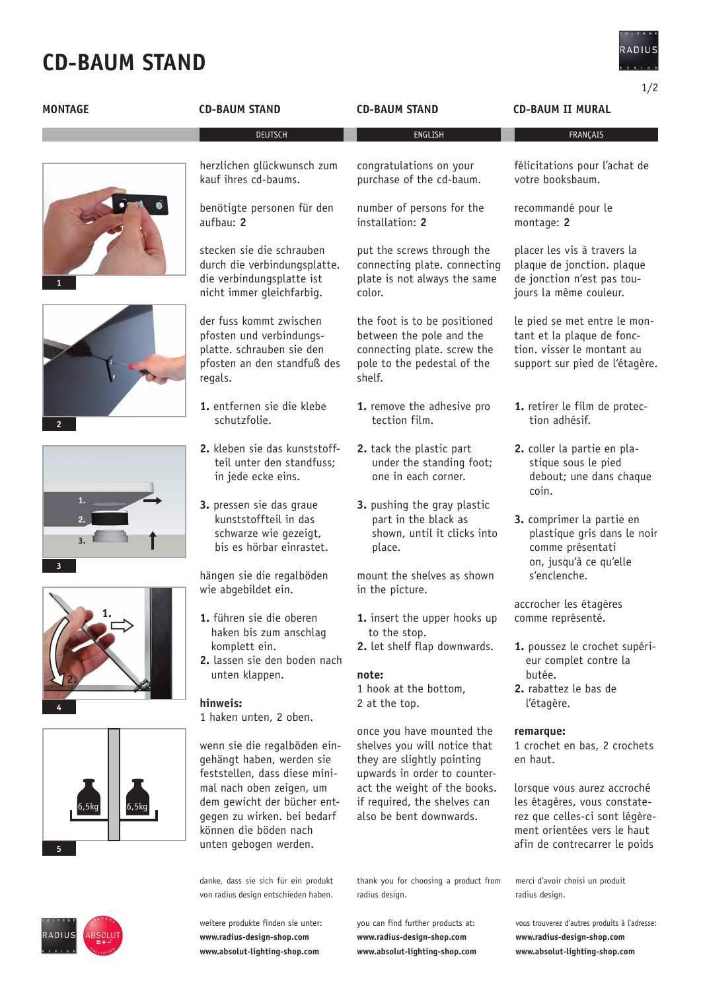# **cd-baum STAND**



|                |                                                                                                                                          |                                                                                                                                  | 1/2                                                                                                                                                           |
|----------------|------------------------------------------------------------------------------------------------------------------------------------------|----------------------------------------------------------------------------------------------------------------------------------|---------------------------------------------------------------------------------------------------------------------------------------------------------------|
| <b>MONTAGE</b> | <b>CD-BAUM STAND</b>                                                                                                                     | <b>CD-BAUM STAND</b>                                                                                                             | <b>CD-BAUM II MURAL</b>                                                                                                                                       |
|                | <b>DEUTSCH</b>                                                                                                                           | ENGLISH                                                                                                                          | FRANÇAIS                                                                                                                                                      |
|                | herzlichen glückwunsch zum<br>kauf ihres cd-baums.                                                                                       | congratulations on your<br>purchase of the cd-baum.                                                                              | félicitations pour l'achat de<br>votre booksbaum.                                                                                                             |
|                | benötigte personen für den<br>aufbau: 2                                                                                                  | number of persons for the<br>installation: 2                                                                                     | recommandé pour le<br>montage: 2                                                                                                                              |
|                | stecken sie die schrauben<br>durch die verbindungsplatte.<br>die verbindungsplatte ist<br>nicht immer gleichfarbig.                      | put the screws through the<br>connecting plate. connecting<br>plate is not always the same<br>color.                             | placer les vis à travers la<br>plaque de jonction. plaque<br>de jonction n'est pas tou-<br>jours la même couleur.                                             |
|                | der fuss kommt zwischen<br>pfosten und verbindungs-<br>platte. schrauben sie den<br>pfosten an den standfuß des<br>regals.               | the foot is to be positioned<br>between the pole and the<br>connecting plate. screw the<br>pole to the pedestal of the<br>shelf. | le pied se met entre le mon-<br>tant et la plaque de fonc-<br>tion. visser le montant au<br>support sur pied de l'étagère.                                    |
| $\overline{2}$ | 1. entfernen sie die klebe<br>schutzfolie.                                                                                               | 1. remove the adhesive pro<br>tection film.                                                                                      | 1. retirer le film de protec-<br>tion adhésif.                                                                                                                |
|                | 2. kleben sie das kunststoff-<br>teil unter den standfuss;<br>in jede ecke eins.                                                         | 2. tack the plastic part<br>under the standing foot;<br>one in each corner.                                                      | 2. coller la partie en pla-<br>stique sous le pied<br>debout; une dans chaque<br>coin.                                                                        |
| 3.<br>3        | 3. pressen sie das graue<br>kunststoffteil in das<br>schwarze wie gezeigt,<br>bis es hörbar einrastet.                                   | 3. pushing the gray plastic<br>part in the black as<br>shown, until it clicks into<br>place.                                     | 3. comprimer la partie en<br>plastique gris dans le noir<br>comme présentati<br>on, jusqu'à ce qu'elle                                                        |
|                | hängen sie die regalböden<br>wie abgebildet ein.                                                                                         | mount the shelves as shown<br>in the picture.                                                                                    | s'enclenche.                                                                                                                                                  |
|                | 1. führen sie die oberen<br>haken bis zum anschlag                                                                                       | 1. insert the upper hooks up<br>to the stop.                                                                                     | accrocher les étagères<br>comme représenté.                                                                                                                   |
|                | komplett ein.<br>2. lassen sie den boden nach                                                                                            | 2. let shelf flap downwards.                                                                                                     | 1. poussez le crochet supéri-<br>eur complet contre la                                                                                                        |
|                | unten klappen.<br>hinweis:                                                                                                               | note:<br>1 hook at the bottom,<br>2 at the top.                                                                                  | butée.<br>2. rabattez le bas de<br>l'étagère.                                                                                                                 |
|                | 1 haken unten, 2 oben.                                                                                                                   | once you have mounted the                                                                                                        | remarque:                                                                                                                                                     |
| ,5kq           | wenn sie die regalböden ein-<br>gehängt haben, werden sie<br>feststellen, dass diese mini-                                               | shelves you will notice that<br>they are slightly pointing<br>upwards in order to counter-                                       | 1 crochet en bas, 2 crochets<br>en haut.                                                                                                                      |
|                | mal nach oben zeigen, um<br>dem gewicht der bücher ent-<br>gegen zu wirken. bei bedarf<br>können die böden nach<br>unten gebogen werden. | act the weight of the books.<br>if required, the shelves can<br>also be bent downwards.                                          | lorsque vous aurez accroché<br>les étagères, vous constate-<br>rez que celles-ci sont légère-<br>ment orientées vers le haut<br>afin de contrecarrer le poids |
|                | danke, dass sie sich für ein produkt<br>von radius design entschieden haben.                                                             | thank you for choosing a product from<br>radius design.                                                                          | merci d'avoir choisi un produit<br>radius design.                                                                                                             |
|                | weitere produkte finden sie unter:                                                                                                       | you can find further products at:                                                                                                | vous trouverez d'autres produits à l'adresse:                                                                                                                 |

**www.radius-design-shop.com www.absolut-lighting-shop.com** **www.radius-design-shop.com www.absolut-lighting-shop.com**

RADIUS ABSOLUT

**www.radius-design-shop.com www.absolut-lighting-shop.com**